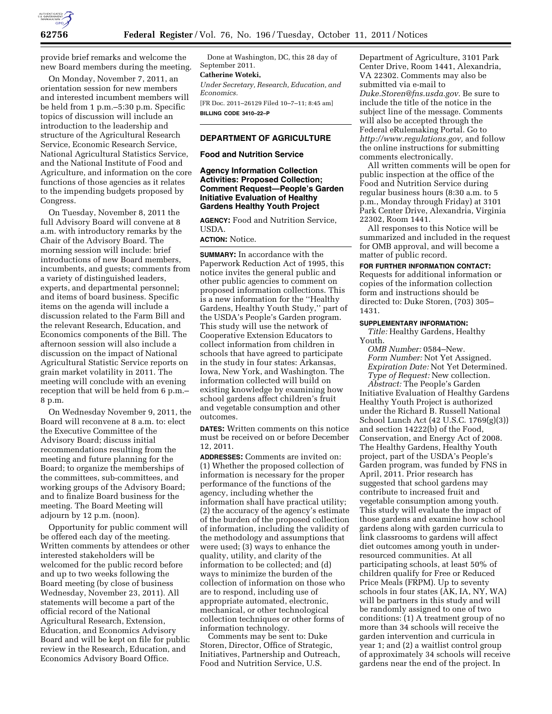

provide brief remarks and welcome the new Board members during the meeting.

On Monday, November 7, 2011, an orientation session for new members and interested incumbent members will be held from 1 p.m.–5:30 p.m. Specific topics of discussion will include an introduction to the leadership and structure of the Agricultural Research Service, Economic Research Service, National Agricultural Statistics Service, and the National Institute of Food and Agriculture, and information on the core functions of those agencies as it relates to the impending budgets proposed by Congress.

On Tuesday, November 8, 2011 the full Advisory Board will convene at 8 a.m. with introductory remarks by the Chair of the Advisory Board. The morning session will include: brief introductions of new Board members, incumbents, and guests; comments from a variety of distinguished leaders, experts, and departmental personnel; and items of board business. Specific items on the agenda will include a discussion related to the Farm Bill and the relevant Research, Education, and Economics components of the Bill. The afternoon session will also include a discussion on the impact of National Agricultural Statistic Service reports on grain market volatility in 2011. The meeting will conclude with an evening reception that will be held from 6 p.m.– 8 p.m.

On Wednesday November 9, 2011, the Board will reconvene at 8 a.m. to: elect the Executive Committee of the Advisory Board; discuss initial recommendations resulting from the meeting and future planning for the Board; to organize the memberships of the committees, sub-committees, and working groups of the Advisory Board; and to finalize Board business for the meeting. The Board Meeting will adjourn by 12 p.m. (noon).

Opportunity for public comment will be offered each day of the meeting. Written comments by attendees or other interested stakeholders will be welcomed for the public record before and up to two weeks following the Board meeting (by close of business Wednesday, November 23, 2011). All statements will become a part of the official record of the National Agricultural Research, Extension, Education, and Economics Advisory Board and will be kept on file for public review in the Research, Education, and Economics Advisory Board Office.

Done at Washington, DC, this 28 day of September 2011.

## **Catherine Woteki,**

*Under Secretary, Research, Education, and Economics.* 

[FR Doc. 2011–26129 Filed 10–7–11; 8:45 am] **BILLING CODE 3410–22–P** 

## **DEPARTMENT OF AGRICULTURE**

## **Food and Nutrition Service**

## **Agency Information Collection Activities: Proposed Collection; Comment Request—People's Garden Initiative Evaluation of Healthy Gardens Healthy Youth Project**

**AGENCY:** Food and Nutrition Service, USDA.

# **ACTION:** Notice.

**SUMMARY:** In accordance with the Paperwork Reduction Act of 1995, this notice invites the general public and other public agencies to comment on proposed information collections. This is a new information for the ''Healthy Gardens, Healthy Youth Study,'' part of the USDA's People's Garden program. This study will use the network of Cooperative Extension Educators to collect information from children in schools that have agreed to participate in the study in four states: Arkansas, Iowa, New York, and Washington. The information collected will build on existing knowledge by examining how school gardens affect children's fruit and vegetable consumption and other outcomes.

**DATES:** Written comments on this notice must be received on or before December 12, 2011.

**ADDRESSES:** Comments are invited on: (1) Whether the proposed collection of information is necessary for the proper performance of the functions of the agency, including whether the information shall have practical utility; (2) the accuracy of the agency's estimate of the burden of the proposed collection of information, including the validity of the methodology and assumptions that were used; (3) ways to enhance the quality, utility, and clarity of the information to be collected; and (d) ways to minimize the burden of the collection of information on those who are to respond, including use of appropriate automated, electronic, mechanical, or other technological collection techniques or other forms of information technology.

Comments may be sent to: Duke Storen, Director, Office of Strategic, Initiatives, Partnership and Outreach, Food and Nutrition Service, U.S.

Department of Agriculture, 3101 Park Center Drive, Room 1441, Alexandria, VA 22302. Comments may also be submitted via e-mail to *[Duke.Storen@fns.usda.gov.](mailto:Duke.Storen@fns.usda.gov)* Be sure to include the title of the notice in the subject line of the message. Comments will also be accepted through the Federal eRulemaking Portal. Go to *[http://www.regulations.gov,](http://www.regulations.gov)* and follow the online instructions for submitting comments electronically.

All written comments will be open for public inspection at the office of the Food and Nutrition Service during regular business hours (8:30 a.m. to 5 p.m., Monday through Friday) at 3101 Park Center Drive, Alexandria, Virginia 22302, Room 1441.

All responses to this Notice will be summarized and included in the request for OMB approval, and will become a matter of public record.

## **FOR FURTHER INFORMATION CONTACT:**

Requests for additional information or copies of the information collection form and instructions should be directed to: Duke Storen, (703) 305– 1431.

#### **SUPPLEMENTARY INFORMATION:**

*Title:* Healthy Gardens, Healthy Youth.

*OMB Number:* 0584–New. *Form Number:* Not Yet Assigned. *Expiration Date:* Not Yet Determined. *Type of Request:* New collection. *Abstract:* The People's Garden Initiative Evaluation of Healthy Gardens Healthy Youth Project is authorized under the Richard B. Russell National School Lunch Act (42 U.S.C. 1769(g)(3)) and section 14222(b) of the Food, Conservation, and Energy Act of 2008. The Healthy Gardens, Healthy Youth project, part of the USDA's People's Garden program, was funded by FNS in April, 2011. Prior research has suggested that school gardens may contribute to increased fruit and vegetable consumption among youth. This study will evaluate the impact of those gardens and examine how school gardens along with garden curricula to link classrooms to gardens will affect diet outcomes among youth in underresourced communities. At all participating schools, at least 50% of children qualify for Free or Reduced Price Meals (FRPM). Up to seventy schools in four states (AK, IA, NY, WA) will be partners in this study and will be randomly assigned to one of two conditions: (1) A treatment group of no more than 34 schools will receive the garden intervention and curricula in year 1; and (2) a waitlist control group of approximately 34 schools will receive gardens near the end of the project. In